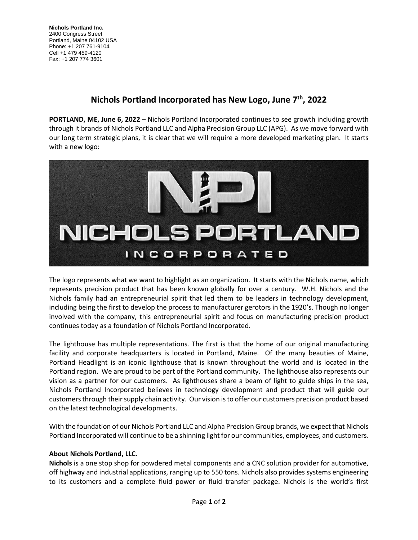**Nichols Portland Inc.** 2400 Congress Street Portland, Maine 04102 USA Phone: +1 207 761-9104 Cell +1 479 459-4120 Fax: +1 207 774 3601

## **Nichols Portland Incorporated has New Logo, June 7 th, 2022**

**PORTLAND, ME, June 6, 2022** – Nichols Portland Incorporated continues to see growth including growth through it brands of Nichols Portland LLC and Alpha Precision Group LLC (APG). As we move forward with our long term strategic plans, it is clear that we will require a more developed marketing plan. It starts with a new logo:



The logo represents what we want to highlight as an organization. It starts with the Nichols name, which represents precision product that has been known globally for over a century. W.H. Nichols and the Nichols family had an entrepreneurial spirit that led them to be leaders in technology development, including being the first to develop the process to manufacturer gerotors in the 1920's. Though no longer involved with the company, this entrepreneurial spirit and focus on manufacturing precision product continues today as a foundation of Nichols Portland Incorporated.

The lighthouse has multiple representations. The first is that the home of our original manufacturing facility and corporate headquarters is located in Portland, Maine. Of the many beauties of Maine, Portland Headlight is an iconic lighthouse that is known throughout the world and is located in the Portland region. We are proud to be part of the Portland community. The lighthouse also represents our vision as a partner for our customers. As lighthouses share a beam of light to guide ships in the sea, Nichols Portland Incorporated believes in technology development and product that will guide our customers through their supply chain activity. Our vision is to offer our customers precision product based on the latest technological developments.

With the foundation of our Nichols Portland LLC and Alpha Precision Group brands, we expect that Nichols Portland Incorporated will continue to be a shinning light for our communities, employees, and customers.

## **About Nichols Portland, LLC.**

**Nichols** is a one stop shop for powdered metal components and a CNC solution provider for automotive, off highway and industrial applications, ranging up to 550 tons. Nichols also provides systems engineering to its customers and a complete fluid power or fluid transfer package. Nichols is the world's first